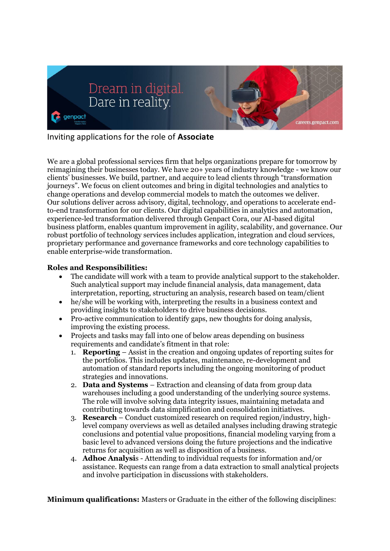

## Inviting applications for the role of **Associate**

We are a global professional services firm that helps organizations prepare for tomorrow by reimagining their businesses today. We have 20+ years of industry knowledge - we know our clients' businesses. We build, partner, and acquire to lead clients through "transformation journeys". We focus on client outcomes and bring in digital technologies and analytics to change operations and develop commercial models to match the outcomes we deliver. Our solutions deliver across advisory, digital, technology, and operations to accelerate endto-end transformation for our clients. Our digital capabilities in analytics and automation, experience-led transformation delivered through Genpact Cora, our AI-based digital business platform, enables quantum improvement in agility, scalability, and governance. Our robust portfolio of technology services includes application, integration and cloud services, proprietary performance and governance frameworks and core technology capabilities to enable enterprise-wide transformation.

## **Roles and Responsibilities:**

- The candidate will work with a team to provide analytical support to the stakeholder. Such analytical support may include financial analysis, data management, data interpretation, reporting, structuring an analysis, research based on team/client
- he/she will be working with, interpreting the results in a business context and providing insights to stakeholders to drive business decisions.
- Pro-active communication to identify gaps, new thoughts for doing analysis, improving the existing process.
- Projects and tasks may fall into one of below areas depending on business requirements and candidate's fitment in that role:
	- 1. **Reporting** Assist in the creation and ongoing updates of reporting suites for the portfolios. This includes updates, maintenance, re-development and automation of standard reports including the ongoing monitoring of product strategies and innovations.
	- 2. **Data and Systems** Extraction and cleansing of data from group data warehouses including a good understanding of the underlying source systems. The role will involve solving data integrity issues, maintaining metadata and contributing towards data simplification and consolidation initiatives.
	- 3. **Research** Conduct customized research on required region/industry, highlevel company overviews as well as detailed analyses including drawing strategic conclusions and potential value propositions, financial modeling varying from a basic level to advanced versions doing the future projections and the indicative returns for acquisition as well as disposition of a business.
	- 4. **Adhoc Analysi**s Attending to individual requests for information and/or assistance. Requests can range from a data extraction to small analytical projects and involve participation in discussions with stakeholders.

**Minimum qualifications:** Masters or Graduate in the either of the following disciplines: